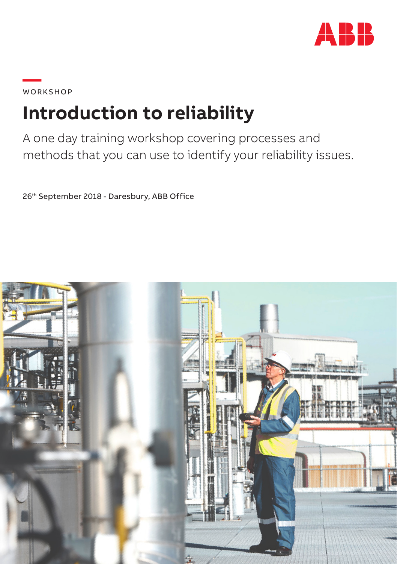

**—**WO R K S H O P

# **Introduction to reliability**

A one day training workshop covering processes and methods that you can use to identify your reliability issues.

26th September 2018 - Daresbury, ABB Office

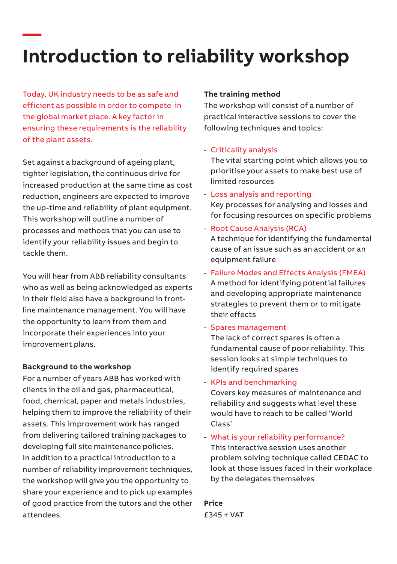## **— Introduction to reliability workshop**

Today, UK industry needs to be as safe and efficient as possible in order to compete in the global market place. A key factor in ensuring these requirements is the reliability of the plant assets.

Set against a background of ageing plant, tighter legislation, the continuous drive for increased production at the same time as cost reduction, engineers are expected to improve the up-time and reliability of plant equipment. This workshop will outline a number of processes and methods that you can use to identify your reliability issues and begin to tackle them.

You will hear from ABB reliability consultants who as well as being acknowledged as experts in their field also have a background in frontline maintenance management. You will have the opportunity to learn from them and incorporate their experiences into your improvement plans.

#### **Background to the workshop**

For a number of years ABB has worked with clients in the oil and gas, pharmaceutical, food, chemical, paper and metals industries, helping them to improve the reliability of their assets. This improvement work has ranged from delivering tailored training packages to developing full site maintenance policies. In addition to a practical introduction to a number of reliability improvement techniques, the workshop will give you the opportunity to share your experience and to pick up examples of good practice from the tutors and the other attendees.

### **The training method**

The workshop will consist of a number of practical interactive sessions to cover the following techniques and topics:

### - Criticality analysis

The vital starting point which allows you to prioritise your assets to make best use of limited resources

- Loss analysis and reporting Key processes for analysing and losses and for focusing resources on specific problems
- Root Cause Analysis (RCA) A technique for identifying the fundamental cause of an issue such as an accident or an equipment failure
- Failure Modes and Effects Analysis (FMEA) A method for identifying potential failures and developing appropriate maintenance strategies to prevent them or to mitigate their effects
- Spares management

The lack of correct spares is often a fundamental cause of poor reliability. This session looks at simple techniques to identify required spares

- KPIs and benchmarking

Covers key measures of maintenance and reliability and suggests what level these would have to reach to be called 'World Class'

- What is your reliability performance? This interactive session uses another problem solving technique called CEDAC to look at those issues faced in their workplace by the delegates themselves

### **Price**

£345 + VAT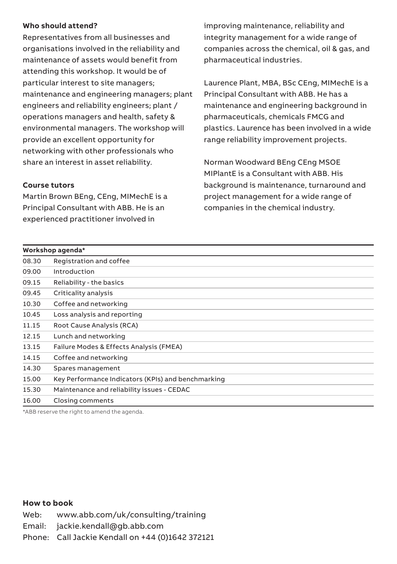#### **Who should attend?**

Representatives from all businesses and organisations involved in the reliability and maintenance of assets would benefit from attending this workshop. It would be of particular interest to site managers; maintenance and engineering managers; plant engineers and reliability engineers; plant / operations managers and health, safety & environmental managers. The workshop will provide an excellent opportunity for networking with other professionals who share an interest in asset reliability.

#### **Course tutors**

Martin Brown BEng, CEng, MIMechE is a Principal Consultant with ABB. He is an experienced practitioner involved in

improving maintenance, reliability and integrity management for a wide range of companies across the chemical, oil & gas, and pharmaceutical industries.

Laurence Plant, MBA, BSc CEng, MIMechE is a Principal Consultant with ABB. He has a maintenance and engineering background in pharmaceuticals, chemicals FMCG and plastics. Laurence has been involved in a wide range reliability improvement projects.

Norman Woodward BEng CEng MSOE MIPlantE is a Consultant with ABB. His background is maintenance, turnaround and project management for a wide range of companies in the chemical industry.

| Workshop agenda* |                                                    |  |
|------------------|----------------------------------------------------|--|
|                  |                                                    |  |
| 08.30            | Registration and coffee                            |  |
| 09.00            | Introduction                                       |  |
| 09.15            | Reliability - the basics                           |  |
| 09.45            | Criticality analysis                               |  |
| 10.30            | Coffee and networking                              |  |
| 10.45            | Loss analysis and reporting                        |  |
| 11.15            | Root Cause Analysis (RCA)                          |  |
| 12.15            | Lunch and networking                               |  |
| 13.15            | Failure Modes & Effects Analysis (FMEA)            |  |
| 14.15            | Coffee and networking                              |  |
| 14.30            | Spares management                                  |  |
| 15.00            | Key Performance Indicators (KPIs) and benchmarking |  |
| 15.30            | Maintenance and reliability issues - CEDAC         |  |
| 16.00            | Closing comments                                   |  |

\*ABB reserve the right to amend the agenda.

### **How to book**

Web: www.abb.com/uk/consulting/training

Email: jackie.kendall@gb.abb.com

Phone: Call Jackie Kendall on +44 (0)1642 372121